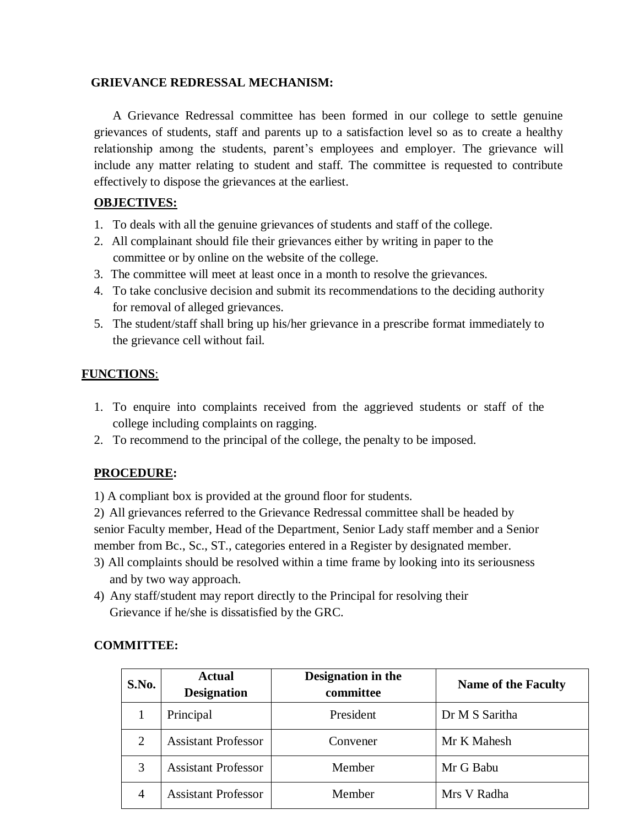#### **GRIEVANCE REDRESSAL MECHANISM:**

A Grievance Redressal committee has been formed in our college to settle genuine grievances of students, staff and parents up to a satisfaction level so as to create a healthy relationship among the students, parent's employees and employer. The grievance will include any matter relating to student and staff. The committee is requested to contribute effectively to dispose the grievances at the earliest.

### **OBJECTIVES:**

- 1. To deals with all the genuine grievances of students and staff of the college.
- 2. All complainant should file their grievances either by writing in paper to the committee or by online on the website of the college.
- 3. The committee will meet at least once in a month to resolve the grievances.
- 4. To take conclusive decision and submit its recommendations to the deciding authority for removal of alleged grievances.
- 5. The student/staff shall bring up his/her grievance in a prescribe format immediately to the grievance cell without fail.

### **FUNCTIONS**:

- 1. To enquire into complaints received from the aggrieved students or staff of the college including complaints on ragging.
- 2. To recommend to the principal of the college, the penalty to be imposed.

## **PROCEDURE:**

1) A compliant box is provided at the ground floor for students.

2) All grievances referred to the Grievance Redressal committee shall be headed by senior Faculty member, Head of the Department, Senior Lady staff member and a Senior member from Bc., Sc., ST., categories entered in a Register by designated member.

- 3) All complaints should be resolved within a time frame by looking into its seriousness and by two way approach.
- 4) Any staff/student may report directly to the Principal for resolving their Grievance if he/she is dissatisfied by the GRC.

## **COMMITTEE:**

| S.No.          | <b>Actual</b><br><b>Designation</b> | Designation in the<br>committee | <b>Name of the Faculty</b> |
|----------------|-------------------------------------|---------------------------------|----------------------------|
|                | Principal                           | President                       | Dr M S Saritha             |
| $\overline{2}$ | <b>Assistant Professor</b>          | Convener                        | Mr K Mahesh                |
| 3              | <b>Assistant Professor</b>          | Member                          | Mr G Babu                  |
| $\overline{4}$ | <b>Assistant Professor</b>          | Member                          | Mrs V Radha                |